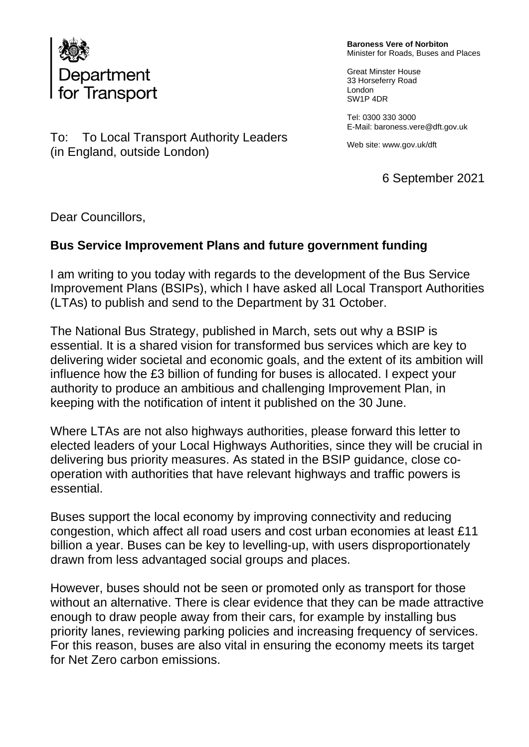

(in England, outside London)

To: To Local Transport Authority Leaders

**Baroness Vere of Norbiton** Minister for Roads, Buses and Places

Great Minster House 33 Horseferry Road London SW1P 4DR

Tel: 0300 330 3000 E-Mail: baroness.vere@dft.gov.uk

Web site[: www.gov.](http://www.gov/)uk/dft

6 September 2021

Dear Councillors,

## **Bus Service Improvement Plans and future government funding**

I am writing to you today with regards to the development of the Bus Service Improvement Plans (BSIPs), which I have asked all Local Transport Authorities (LTAs) to publish and send to the Department by 31 October.

The National Bus Strategy, published in March, sets out why a BSIP is essential. It is a shared vision for transformed bus services which are key to delivering wider societal and economic goals, and the extent of its ambition will influence how the £3 billion of funding for buses is allocated. I expect your authority to produce an ambitious and challenging Improvement Plan, in keeping with the notification of intent it published on the 30 June.

Where LTAs are not also highways authorities, please forward this letter to elected leaders of your Local Highways Authorities, since they will be crucial in delivering bus priority measures. As stated in the BSIP guidance, close cooperation with authorities that have relevant highways and traffic powers is essential.

Buses support the local economy by improving connectivity and reducing congestion, which affect all road users and cost urban economies at least £11 billion a year. Buses can be key to levelling-up, with users disproportionately drawn from less advantaged social groups and places.

However, buses should not be seen or promoted only as transport for those without an alternative. There is clear evidence that they can be made attractive enough to draw people away from their cars, for example by installing bus priority lanes, reviewing parking policies and increasing frequency of services. For this reason, buses are also vital in ensuring the economy meets its target for Net Zero carbon emissions.